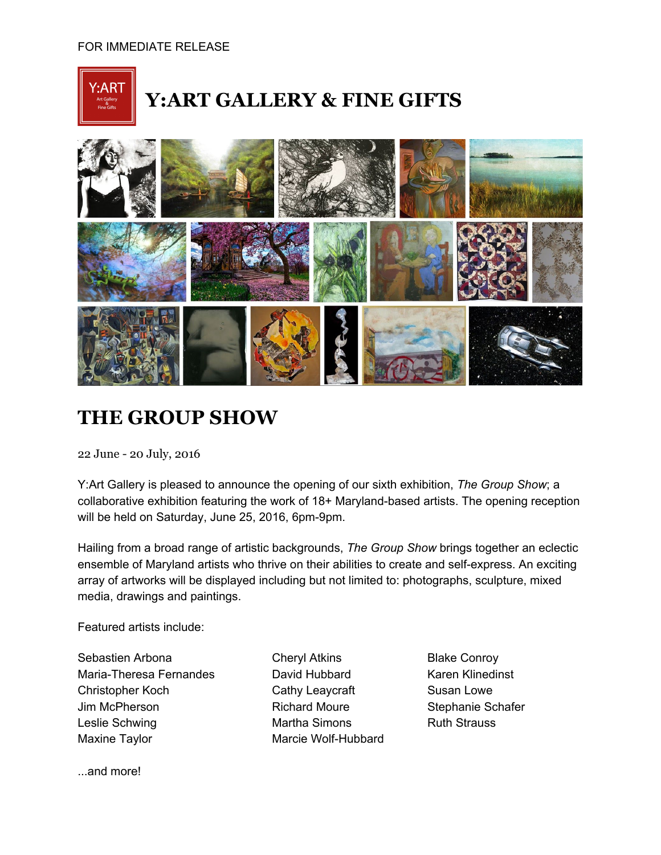

## **Y:ART GALLERY & FINE GIFTS**



## **THE GROUP SHOW**

22 June - 20 July, 2016

Y:Art Gallery is pleased to announce the opening of our sixth exhibition, *The Group Show*; a collaborative exhibition featuring the work of 18+ Maryland-based artists. The opening reception will be held on Saturday, June 25, 2016, 6pm-9pm.

Hailing from a broad range of artistic backgrounds, *The Group Show* brings together an eclectic ensemble of Maryland artists who thrive on their abilities to create and self-express. An exciting array of artworks will be displayed including but not limited to: photographs, sculpture, mixed media, drawings and paintings.

Featured artists include:

Sebastien Arbona **Cheryl Atkins** Blake Conroy Maria-Theresa Fernandes **David Hubbard** Karen Klinedinst Christopher Koch Cathy Leaycraft Susan Lowe Jim McPherson **Richard Moure** Stephanie Schafer Leslie Schwing The Martha Simons The Ruth Strauss Maxine Taylor **Marcie Wolf-Hubbard** 

...and more!